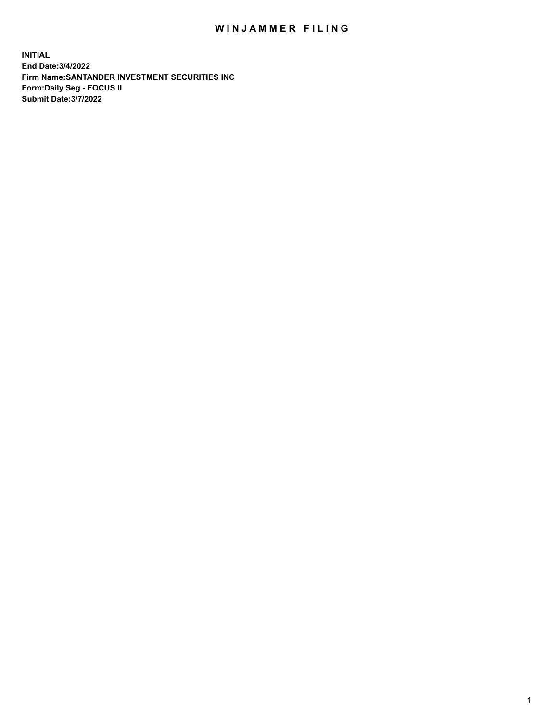## WIN JAMMER FILING

**INITIAL End Date:3/4/2022 Firm Name:SANTANDER INVESTMENT SECURITIES INC Form:Daily Seg - FOCUS II Submit Date:3/7/2022**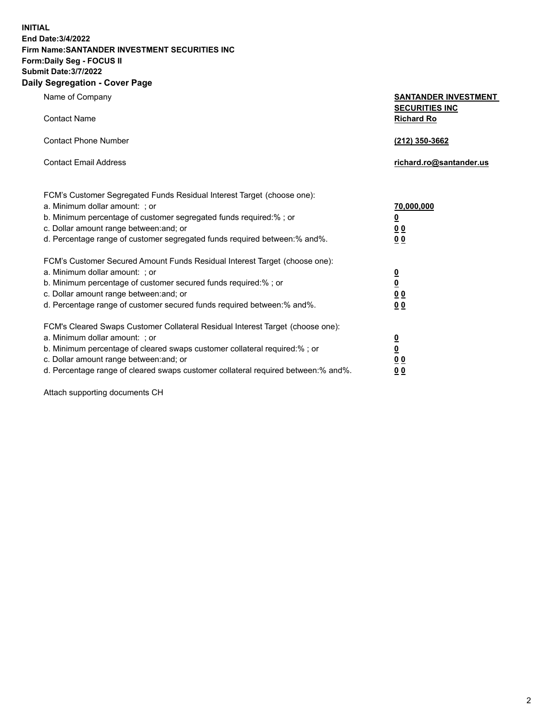**INITIAL End Date:3/4/2022 Firm Name:SANTANDER INVESTMENT SECURITIES INC Form:Daily Seg - FOCUS II Submit Date:3/7/2022 Daily Segregation - Cover Page**

| Name of Company                                                             | <b>SANTANDER INVESTMENT</b> |
|-----------------------------------------------------------------------------|-----------------------------|
|                                                                             | <b>SECURITIES INC</b>       |
| <b>Contact Name</b>                                                         | <b>Richard Ro</b>           |
| <b>Contact Phone Number</b>                                                 | (212) 350-3662              |
| <b>Contact Email Address</b>                                                | richard.ro@santander.us     |
| FCM's Customer Segregated Funds Residual Interest Target (choose one):      |                             |
| a. Minimum dollar amount: ; or                                              | 70,000,000                  |
| b. Minimum percentage of customer segregated funds required:%; or           | $\overline{\mathbf{0}}$     |
| c. Dollar amount range between: and; or                                     | 00                          |
| d. Percentage range of customer segregated funds required between: % and %. | <u>00</u>                   |
| FCM's Customer Secured Amount Funds Residual Interest Target (choose one):  |                             |
| a. Minimum dollar amount: ; or                                              | $\overline{\mathbf{0}}$     |
| b. Minimum percentage of customer secured funds required:%; or              | $\overline{\mathbf{0}}$     |
| c. Dollar amount range between: and; or                                     | <u>00</u>                   |
| d. Percentage range of customer secured funds required between: % and %.    | 0 <sub>0</sub>              |

FCM's Cleared Swaps Customer Collateral Residual Interest Target (choose one): a. Minimum dollar amount: ; or **0**<br>b. Minimum percentage of cleared swaps customer collateral required:% ; or **0** b. Minimum percentage of cleared swaps customer collateral required:% ; or **0** c. Dollar amount range between:and; or **0 0**

d. Percentage range of cleared swaps customer collateral required between:% and%. **0 0**

Attach supporting documents CH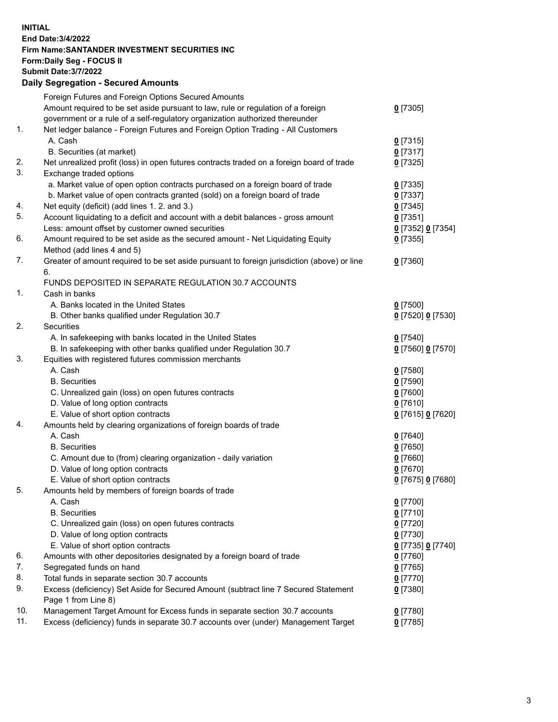## **INITIAL End Date:3/4/2022 Firm Name:SANTANDER INVESTMENT SECURITIES INC Form:Daily Seg - FOCUS II Submit Date:3/7/2022 Daily Segregation - Secured Amounts** Foreign Futures and Foreign Options Secured Amounts Amount required to be set aside pursuant to law, rule or regulation of a foreign government or a rule of a self-regulatory organization authorized thereunder **0** [7305] 1. Net ledger balance - Foreign Futures and Foreign Option Trading - All Customers A. Cash **0** [7315] B. Securities (at market) **0** [7317] 2. Net unrealized profit (loss) in open futures contracts traded on a foreign board of trade **0** [7325] 3. Exchange traded options a. Market value of open option contracts purchased on a foreign board of trade **0** [7335] b. Market value of open contracts granted (sold) on a foreign board of trade **0** [7337] 4. Net equity (deficit) (add lines 1. 2. and 3.) **0** [7345] 5. Account liquidating to a deficit and account with a debit balances - gross amount **0** [7351] Less: amount offset by customer owned securities **0** [7352] **0** [7354] 6. Amount required to be set aside as the secured amount - Net Liquidating Equity Method (add lines 4 and 5) **0** [7355] 7. Greater of amount required to be set aside pursuant to foreign jurisdiction (above) or line 6. **0** [7360] FUNDS DEPOSITED IN SEPARATE REGULATION 30.7 ACCOUNTS 1. Cash in banks A. Banks located in the United States **0** [7500] B. Other banks qualified under Regulation 30.7 **0** [7520] **0** [7530] 2. Securities A. In safekeeping with banks located in the United States **0** [7540] B. In safekeeping with other banks qualified under Regulation 30.7 **0** [7560] **0** [7570] 3. Equities with registered futures commission merchants A. Cash **0** [7580] B. Securities **0** [7590] C. Unrealized gain (loss) on open futures contracts **0** [7600] D. Value of long option contracts **0** [7610] E. Value of short option contracts **0** [7615] **0** [7620] 4. Amounts held by clearing organizations of foreign boards of trade A. Cash **0** [7640] B. Securities **0** [7650] C. Amount due to (from) clearing organization - daily variation **0** [7660] D. Value of long option contracts **0** [7670] E. Value of short option contracts **0** [7675] **0** [7680] 5. Amounts held by members of foreign boards of trade A. Cash **0** [7700] B. Securities **0** [7710] C. Unrealized gain (loss) on open futures contracts **0** [7720] D. Value of long option contracts **0** [7730] E. Value of short option contracts **0** [7735] **0** [7740]

6. Amounts with other depositories designated by a foreign board of trade **0** [7760] 7. Segregated funds on hand **0** [7765] 8. Total funds in separate section 30.7 accounts **0** [7770] 9. Excess (deficiency) Set Aside for Secured Amount (subtract line 7 Secured Statement Page 1 from Line 8) 10. Management Target Amount for Excess funds in separate section 30.7 accounts **0** [7780]

11. Excess (deficiency) funds in separate 30.7 accounts over (under) Management Target **0** [7785]

**0** [7380]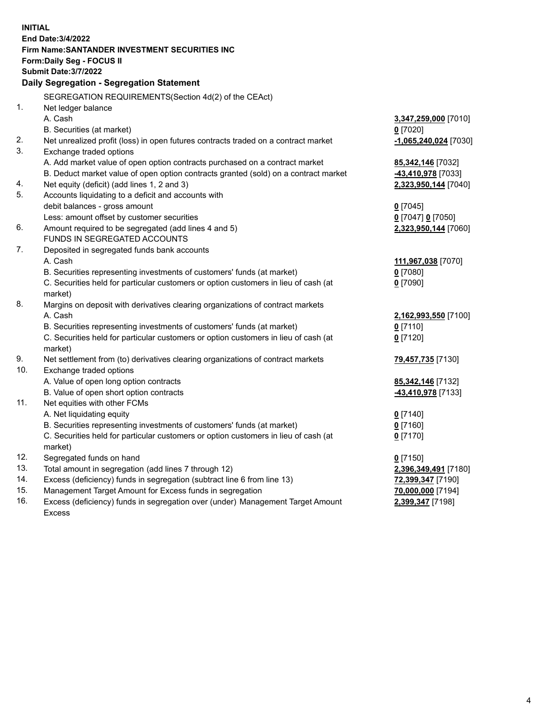| <b>INITIAL</b> | End Date: 3/4/2022<br><b>Firm Name: SANTANDER INVESTMENT SECURITIES INC</b>                                |                         |
|----------------|------------------------------------------------------------------------------------------------------------|-------------------------|
|                | <b>Form:Daily Seg - FOCUS II</b>                                                                           |                         |
|                | <b>Submit Date: 3/7/2022</b>                                                                               |                         |
|                | Daily Segregation - Segregation Statement                                                                  |                         |
|                | SEGREGATION REQUIREMENTS(Section 4d(2) of the CEAct)                                                       |                         |
| 1.             | Net ledger balance                                                                                         |                         |
|                | A. Cash                                                                                                    | 3,347,259,000 [7010]    |
|                | B. Securities (at market)                                                                                  | $0$ [7020]              |
| 2.             | Net unrealized profit (loss) in open futures contracts traded on a contract market                         | $-1,065,240,024$ [7030] |
| 3.             | Exchange traded options                                                                                    |                         |
|                | A. Add market value of open option contracts purchased on a contract market                                | 85, 342, 146 [7032]     |
|                | B. Deduct market value of open option contracts granted (sold) on a contract market                        | 43,410,978 [7033]       |
| 4.             | Net equity (deficit) (add lines 1, 2 and 3)                                                                | 2,323,950,144 [7040]    |
| 5.             | Accounts liquidating to a deficit and accounts with                                                        |                         |
|                | debit balances - gross amount                                                                              | $0$ [7045]              |
|                | Less: amount offset by customer securities                                                                 | 0 [7047] 0 [7050]       |
| 6.             | Amount required to be segregated (add lines 4 and 5)                                                       | 2,323,950,144 [7060]    |
|                | FUNDS IN SEGREGATED ACCOUNTS                                                                               |                         |
| 7.             | Deposited in segregated funds bank accounts                                                                |                         |
|                | A. Cash                                                                                                    | 111,967,038 [7070]      |
|                | B. Securities representing investments of customers' funds (at market)                                     | $0$ [7080]              |
|                | C. Securities held for particular customers or option customers in lieu of cash (at                        | $0$ [7090]              |
|                | market)                                                                                                    |                         |
| 8.             | Margins on deposit with derivatives clearing organizations of contract markets                             |                         |
|                | A. Cash                                                                                                    | 2,162,993,550 [7100]    |
|                | B. Securities representing investments of customers' funds (at market)                                     | $0$ [7110]              |
|                | C. Securities held for particular customers or option customers in lieu of cash (at                        | $0$ [7120]              |
| 9.             | market)                                                                                                    |                         |
| 10.            | Net settlement from (to) derivatives clearing organizations of contract markets<br>Exchange traded options | 79,457,735 [7130]       |
|                | A. Value of open long option contracts                                                                     | 85, 342, 146 [7132]     |
|                | B. Value of open short option contracts                                                                    | 43,410,978 [7133]       |
| 11.            | Net equities with other FCMs                                                                               |                         |
|                | A. Net liquidating equity                                                                                  | $0$ [7140]              |
|                | B. Securities representing investments of customers' funds (at market)                                     | $0$ [7160]              |
|                | C. Securities held for particular customers or option customers in lieu of cash (at                        | $0$ [7170]              |
|                | market)                                                                                                    |                         |
| 12.            | Segregated funds on hand                                                                                   | $0$ [7150]              |
| 13.            | Total amount in segregation (add lines 7 through 12)                                                       | 2,396,349,491 [7180]    |
| 14.            | Excess (deficiency) funds in segregation (subtract line 6 from line 13)                                    | 72,399,347 [7190]       |
| 15.            | Management Target Amount for Excess funds in segregation                                                   | 70,000,000 [7194]       |
| 16.            | Excess (deficiency) funds in segregation over (under) Management Target Amount                             | 2,399,347 [7198]        |
|                | <b>Excess</b>                                                                                              |                         |